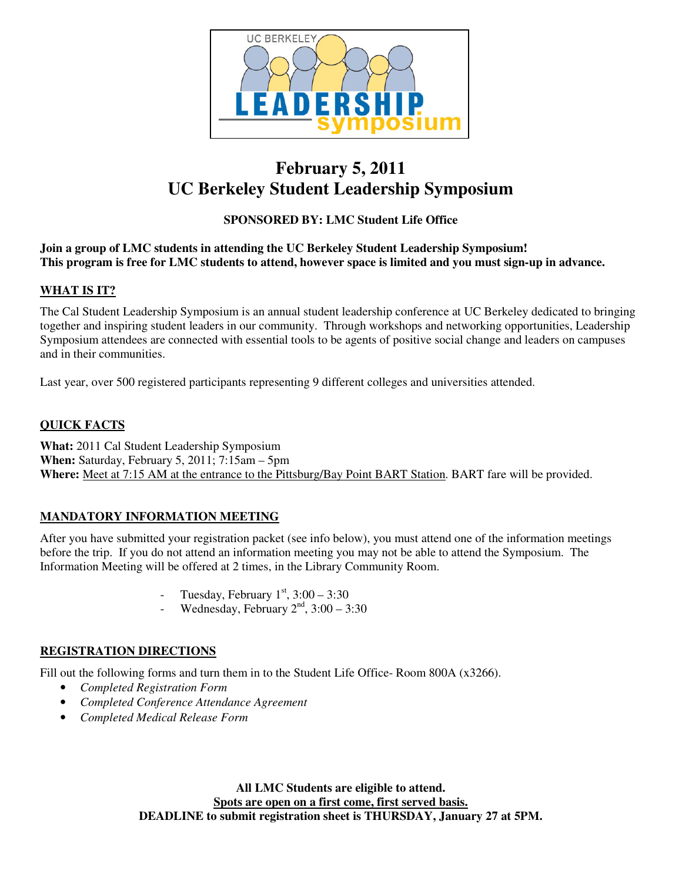

## **February 5, 2011 UC Berkeley Student Leadership Symposium**

### **SPONSORED BY: LMC Student Life Office**

#### **Join a group of LMC students in attending the UC Berkeley Student Leadership Symposium!** This program is free for LMC students to attend, however space is limited and you must sign-up in advance.

#### **WHAT IS IT?**

The Cal Student Leadership Symposium is an annual student leadership conference at UC Berkeley dedicated to bringing together and inspiring student leaders in our community. Through workshops and networking opportunities, Leadership Symposium attendees are connected with essential tools to be agents of positive social change and leaders on campuses and in their communities.

Last year, over 500 registered participants representing 9 different colleges and universities attended.

#### **QUICK FACTS**

**What:** 2011 Cal Student Leadership Symposium **When:** Saturday, February 5, 2011; 7:15am – 5pm **Where:** Meet at 7:15 AM at the entrance to the Pittsburg/Bay Point BART Station. BART fare will be provided.

#### **MANDATORY INFORMATION MEETING**

After you have submitted your registration packet (see info below), you must attend one of the information meetings before the trip. If you do not attend an information meeting you may not be able to attend the Symposium. The Information Meeting will be offered at 2 times, in the Library Community Room.

- Tuesday, February  $1^{st}$ ,  $3:00 3:30$
- Wednesday, February  $2<sup>nd</sup>$ ,  $3:00 3:30$

#### **REGISTRATION DIRECTIONS**

Fill out the following forms and turn them in to the Student Life Office-Room 800A (x3266).

- *Completed Registration Form*
- *Completed Conference Attendance Agreement*
- *Completed Medical Release Form*

**All LMC Students are eligible to attend. Spots are open on a first come, first served basis. DEADLINE to submit registration sheet is THURSDAY, January 27 at 5PM.**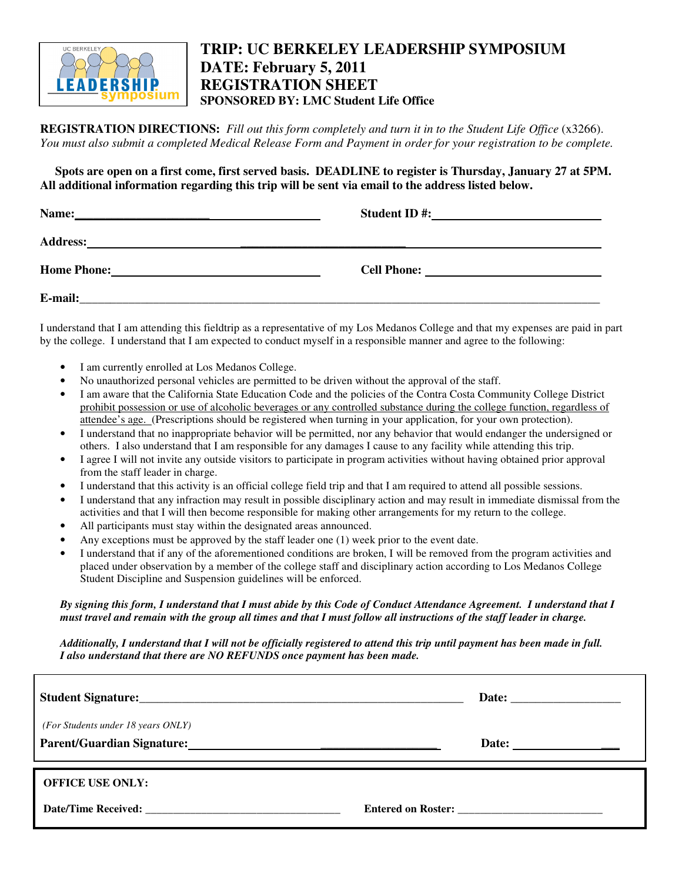

### **TRIP: UC BERKELEY LEADERSHIP SYMPOSIUM DATE: February 5, 2011 REGISTRATION SHEET SPONSORED BY: LMC Student Life Office**

**REGISTRATION DIRECTIONS:** *Fill out this form completely and turn it in to the Student Life Office* (x3266). You must also submit a completed Medical Release Form and Payment in order for your registration to be complete.

Spots are open on a first come, first served basis. DEADLINE to register is Thursday, January 27 at 5PM. **All additional information regarding this trip will be sent via email to the address listed below.**

| Name:<br><u> 1989 - Johann Harry Harry Harry Harry Harry Harry Harry Harry Harry Harry Harry Harry Harry Harry Harry Harry H</u>        | <b>Student ID#:</b> |  |
|-----------------------------------------------------------------------------------------------------------------------------------------|---------------------|--|
| <b>Address:</b><br><u> 1990 - 1990 - 1990 - 1990 - 1990 - 1990 - 1990 - 1990 - 1990 - 1990 - 1990 - 1990 - 1990 - 1990 - 1990 - 199</u> |                     |  |
| <b>Home Phone:</b>                                                                                                                      | <b>Cell Phone:</b>  |  |
| E-mail:                                                                                                                                 |                     |  |

I understand that I am attending this fieldtrip as a representative of my Los Medanos College and that my expenses are paid in part by the college. I understand that I am expected to conduct myself in a responsible manner and agree to the following:

- I am currently enrolled at Los Medanos College.
- No unauthorized personal vehicles are permitted to be driven without the approval of the staff.
- I am aware that the California State Education Code and the policies of the Contra Costa Community College District prohibit possession or use of alcoholic beverages or any controlled substance during the college function, regardless of attendee's age. (Prescriptions should be registered when turning in your application, for your own protection).
- I understand that no inappropriate behavior will be permitted, nor any behavior that would endanger the undersigned or others. I also understand that I am responsible for any damages I cause to any facility while attending this trip.
- I agree I will not invite any outside visitors to participate in program activities without having obtained prior approval from the staff leader in charge.
- I understand that this activity is an official college field trip and that I am required to attend all possible sessions.
- I understand that any infraction may result in possible disciplinary action and may result in immediate dismissal from the activities and that I will then become responsible for making other arrangements for my return to the college.
- All participants must stay within the designated areas announced.
- Any exceptions must be approved by the staff leader one (1) week prior to the event date.
- I understand that if any of the aforementioned conditions are broken, I will be removed from the program activities and placed under observation by a member of the college staff and disciplinary action according to Los Medanos College Student Discipline and Suspension guidelines will be enforced.

#### By signing this form, I understand that I must abide by this Code of Conduct Attendance Agreement. I understand that I must travel and remain with the group all times and that I must follow all instructions of the staff leader in charge.

Additionally, I understand that I will not be officially registered to attend this trip until payment has been made in full. *I also understand that there are NO REFUNDS once payment has been made.*

|                                    | Date:                                                    |
|------------------------------------|----------------------------------------------------------|
| (For Students under 18 years ONLY) | Date: $\qquad \qquad \qquad \qquad \qquad \qquad \qquad$ |
| <b>OFFICE USE ONLY:</b>            |                                                          |
|                                    | Entered on Roster:                                       |